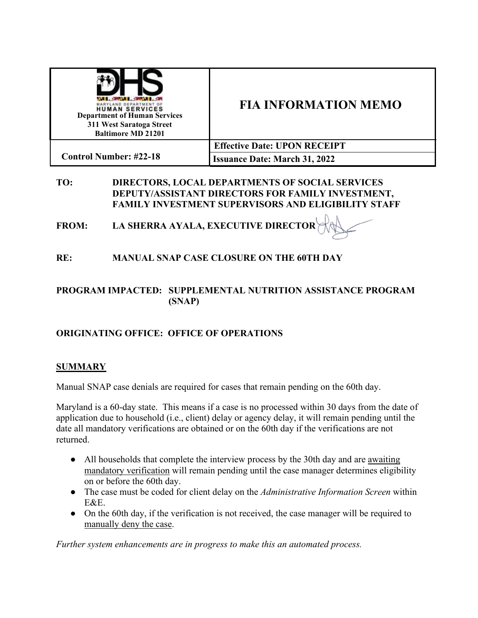| <b>LOWER COMPANY</b><br>YLAND DEPARTMENT O<br><b>HUMAN SERVICES</b><br><b>Department of Human Services</b><br>311 West Saratoga Street<br><b>Baltimore MD 21201</b> | <b>FIA INFORMATION MEMO</b>          |
|---------------------------------------------------------------------------------------------------------------------------------------------------------------------|--------------------------------------|
|                                                                                                                                                                     | <b>Effective Date: UPON RECEIPT</b>  |
| <b>Control Number: #22-18</b>                                                                                                                                       | <b>Issuance Date: March 31, 2022</b> |

### **TO: DIRECTORS, LOCAL DEPARTMENTS OF SOCIAL SERVICES DEPUTY/ASSISTANT DIRECTORS FOR FAMILY INVESTMENT, FAMILY INVESTMENT SUPERVISORS AND ELIGIBILITY STAFF**

**FROM: LA SHERRA AYALA, EXECUTIVE DIRECTOR**

**RE: MANUAL SNAP CASE CLOSURE ON THE 60TH DAY**

# **PROGRAM IMPACTED: SUPPLEMENTAL NUTRITION ASSISTANCE PROGRAM (SNAP)**

# **ORIGINATING OFFICE: OFFICE OF OPERATIONS**

## **SUMMARY**

Manual SNAP case denials are required for cases that remain pending on the 60th day.

Maryland is a 60-day state. This means if a case is no processed within 30 days from the date of application due to household (i.e., client) delay or agency delay, it will remain pending until the date all mandatory verifications are obtained or on the 60th day if the verifications are not returned.

- All households that complete the interview process by the 30th day and are awaiting mandatory verification will remain pending until the case manager determines eligibility on or before the 60th day.
- The case must be coded for client delay on the *Administrative Information Screen* within E&E.
- On the 60th day, if the verification is not received, the case manager will be required to manually deny the case.

*Further system enhancements are in progress to make this an automated process.*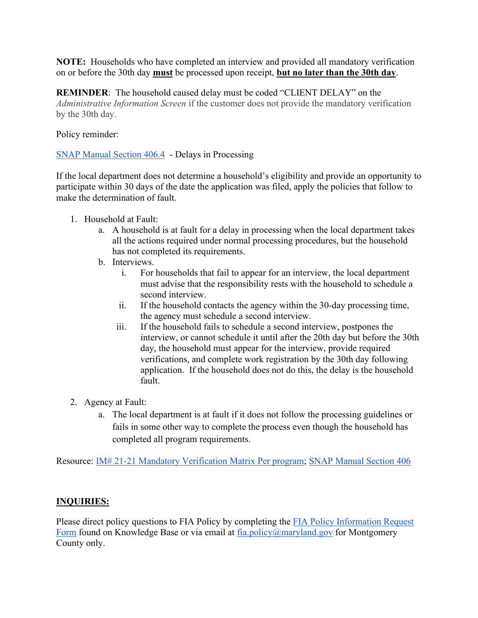**NOTE:** Households who have completed an interview and provided all mandatory verification on or before the 30th day **must** be processed upon receipt, **but no later than the 30th day**.

**REMINDER**: The household caused delay must be coded "CLIENT DELAY" on the *Administrative Information Screen* if the customer does not provide the mandatory verification by the 30th day.

#### Policy reminder:

[SNAP Manual Section 406.4](https://dhs.maryland.gov/documents/Manuals/FSP%20(Food%20Supplement%20Program)%20Manual/406%20Normal%20Processing%20Standards/406-Normal-Processing-rev-JULY-2020.pdf) - Delays in Processing

If the local department does not determine a household's eligibility and provide an opportunity to participate within 30 days of the date the application was filed, apply the policies that follow to make the determination of fault.

- 1. Household at Fault:
	- a. A household is at fault for a delay in processing when the local department takes all the actions required under normal processing procedures, but the household has not completed its requirements.
	- b. Interviews.
		- i. For households that fail to appear for an interview, the local department must advise that the responsibility rests with the household to schedule a second interview.
		- ii. If the household contacts the agency within the 30-day processing time, the agency must schedule a second interview.
		- iii. If the household fails to schedule a second interview, postpones the interview, or cannot schedule it until after the 20th day but before the 30th day, the household must appear for the interview, provide required verifications, and complete work registration by the 30th day following application. If the household does not do this, the delay is the household fault.
- 2. Agency at Fault:
	- a. The local department is at fault if it does not follow the processing guidelines or fails in some other way to complete the process even though the household has completed all program requirements.

Resource: [IM# 21-21 Mandatory Verification Matrix Per program;](https://dhs.maryland.gov/documents/FIA/Action%20Transmittals-AT%20-%20Information%20Memo-IM/AT2021/21-21-IM-Mandatory-Verification-Matrix-Per-Program.-attachments.pdf) [SNAP Manual Section 406](https://dhs.maryland.gov/documents/Manuals/FSP%20(Food%20Supplement%20Program)%20Manual/406%20Normal%20Processing%20Standards/406-Normal-Processing-rev-JULY-2020.pdf)

### **INQUIRIES:**

Please direct policy questions to FIA Policy by completing the [FIA Policy Information Request](https://kb.dhs.maryland.gov/family-investment-administration/contact-us-with-your-fia-program-eligibility-policy-question/)  [Form](https://kb.dhs.maryland.gov/family-investment-administration/contact-us-with-your-fia-program-eligibility-policy-question/) found on Knowledge Base or via email at  $f_{1a,policy@maryland.gov}$  for Montgomery County only.